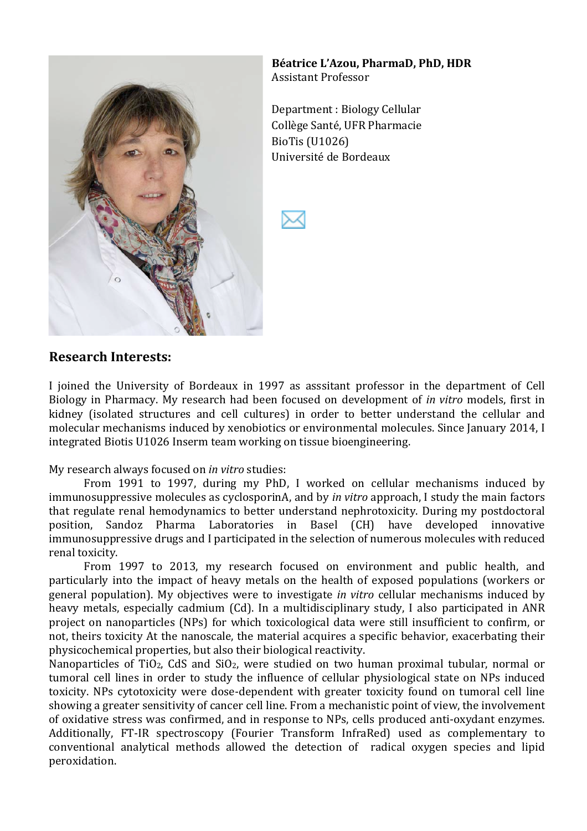

Béatrice L'Azou, PharmaD, PhD, HDR Assistant'Professor

Department: Biology Cellular Collège Santé, UFR Pharmacie BioTis (U1026) Université de Bordeaux



### **Research)Interests:**

I joined the University of Bordeaux in 1997 as asssitant professor in the department of Cell Biology in Pharmacy. My research had been focused on development of *in vitro* models, first in kidney (isolated structures and cell cultures) in order to better understand the cellular and molecular mechanisms induced by xenobiotics or environmental molecules. Since January 2014, I integrated Biotis U1026 Inserm team working on tissue bioengineering.

My research always focused on *in vitro* studies:

From 1991 to 1997, during my PhD, I worked on cellular mechanisms induced by immunosuppressive molecules as cyclosporinA, and by *in vitro* approach, I study the main factors that regulate renal hemodynamics to better understand nephrotoxicity. During my postdoctoral position, Sandoz' Pharma' Laboratories' in' Basel' (CH)' have' developed' innovative' immunosuppressive drugs and I participated in the selection of numerous molecules with reduced renal toxicity.

From 1997 to 2013, my research focused on environment and public health, and particularly into the impact of heavy metals on the health of exposed populations (workers or general population). My objectives were to investigate *in vitro* cellular mechanisms induced by heavy metals, especially cadmium (Cd). In a multidisciplinary study, I also participated in ANR project on nanoparticles (NPs) for which toxicological data were still insufficient to confirm, or not, theirs toxicity At the nanoscale, the material acquires a specific behavior, exacerbating their physicochemical properties, but also their biological reactivity.

Nanoparticles of TiO<sub>2</sub>, CdS and SiO<sub>2</sub>, were studied on two human proximal tubular, normal or tumoral cell lines in order to study the influence of cellular physiological state on NPs induced toxicity. NPs cytotoxicity were dose-dependent with greater toxicity found on tumoral cell line showing a greater sensitivity of cancer cell line. From a mechanistic point of view, the involvement of oxidative stress was confirmed, and in response to NPs, cells produced anti-oxydant enzymes. Additionally, FT-IR spectroscopy (Fourier Transform InfraRed) used as complementary to conventional analytical methods allowed the detection of radical oxygen species and lipid peroxidation.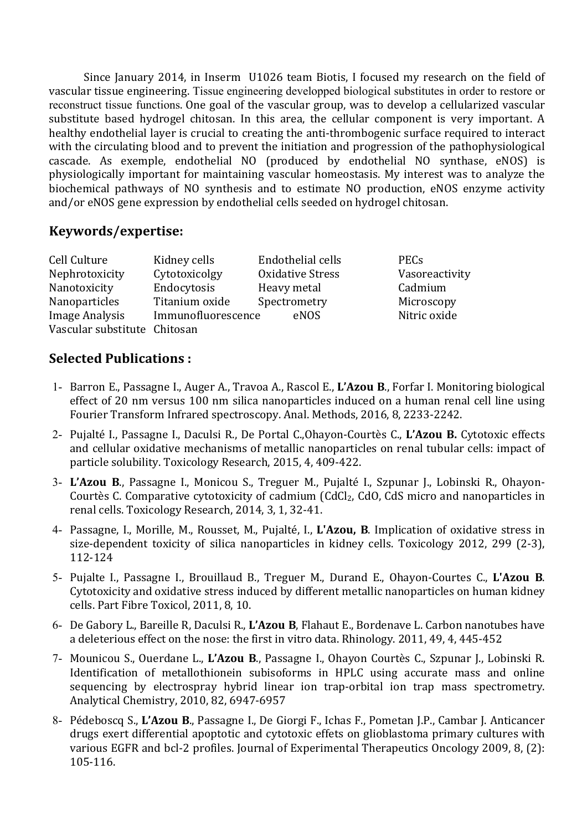Since January 2014, in Inserm U1026 team Biotis, I focused my research on the field of vascular tissue engineering. Tissue engineering developped biological substitutes in order to restore or reconstruct tissue functions. One goal of the vascular group, was to develop a cellularized vascular substitute based hydrogel chitosan. In this area, the cellular component is very important. A healthy endothelial layer is crucial to creating the anti-thrombogenic surface required to interact with the circulating blood and to prevent the initiation and progression of the pathophysiological cascade. As exemple, endothelial NO (produced by endothelial NO synthase, eNOS) is physiologically important for maintaining vascular homeostasis. My interest was to analyze the biochemical pathways of NO synthesis and to estimate NO production, eNOS enzyme activity and/or eNOS gene expression by endothelial cells seeded on hydrogel chitosan.

#### **Keywords/expertise:**

| Cell Culture                 | Kidney cells       | Endothelial cells       | <b>PECs</b>    |
|------------------------------|--------------------|-------------------------|----------------|
| Nephrotoxicity               | Cytotoxicolgy      | <b>Oxidative Stress</b> | Vasoreactivity |
| Nanotoxicity                 | Endocytosis        | Heavy metal             | Cadmium        |
| Nanoparticles                | Titanium oxide     | Spectrometry            | Microscopy     |
| Image Analysis               | Immunofluorescence | eNOS                    | Nitric oxide   |
| Vascular substitute Chitosan |                    |                         |                |

### **Selected)Publications :**

- 1- Barron'E.,'Passagne'I.,'Auger'A.,'Travoa A.,'Rascol E.,'**L'Azou)B**., Forfar I. Monitoring'biological' effect of 20 nm versus 100 nm silica nanoparticles induced on a human renal cell line using Fourier Transform Infrared spectroscopy. Anal. Methods, 2016, 8, 2233-2242.
- 2- Pujalté I., Passagne I., Daculsi R., De Portal C.,Ohayon-Courtès C., L'Azou B. Cytotoxic effects and cellular oxidative mechanisms of metallic nanoparticles on renal tubular cells: impact of particle solubility. Toxicology Research, 2015, 4, 409-422.
- 3- L'Azou B., Passagne I., Monicou S., Treguer M., Pujalté I., Szpunar J., Lobinski R., Ohayon-Courtès C. Comparative cytotoxicity of cadmium (CdCl<sub>2</sub>, CdO, CdS micro and nanoparticles in renal cells. Toxicology Research, 2014, 3, 1, 32-41.
- 4- Passagne, I., Morille, M., Rousset, M., Pujalté, I., L'Azou, B. Implication of oxidative stress in size-dependent toxicity of silica nanoparticles in kidney cells. Toxicology 2012, 299 (2-3), 112\124
- 5- Pujalte I., Passagne I., Brouillaud B., Treguer M., Durand E., Ohayon-Courtes C., **L'Azou B**. Cytotoxicity and oxidative stress induced by different metallic nanoparticles on human kidney cells. Part Fibre Toxicol, 2011, 8, 10.
- 6- De Gabory L., Bareille R, Daculsi R., L'Azou B, Flahaut E., Bordenave L. Carbon nanotubes have a deleterious effect on the nose: the first in vitro data. Rhinology. 2011, 49, 4, 445-452
- 7- Mounicou'S.,'Ouerdane' L.,'**L'Azou) B**.,'Passagne' I.,'Ohayon'Courtès'C.,'Szpunar' J.,' Lobinski'R.' Identification of metallothionein subisoforms in HPLC using accurate mass and online sequencing by electrospray hybrid linear ion trap-orbital ion trap mass spectrometry. Analytical Chemistry, 2010, 82, 6947-6957
- 8- Pédeboscq S., L'Azou B., Passagne I., De Giorgi F., Ichas F., Pometan J.P., Cambar J. Anticancer drugs exert differential apoptotic and cytotoxic effets on glioblastoma primary cultures with various EGFR and bcl-2 profiles. Journal of Experimental Therapeutics Oncology 2009, 8, (2): 105\116.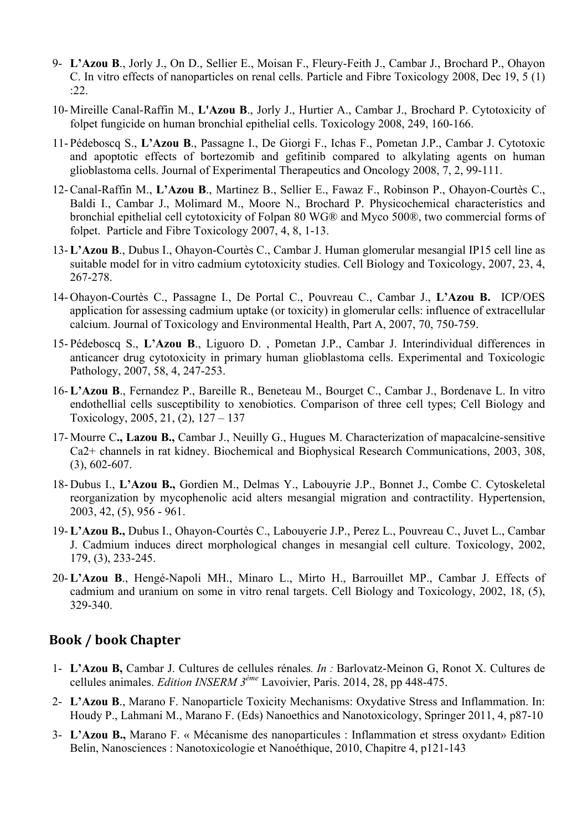- 9- **L'Azou B**., Jorly J., On D., Sellier E., Moisan F., Fleury-Feith J., Cambar J., Brochard P., Ohayon C. In vitro effects of nanoparticles on renal cells. Particle and Fibre Toxicology 2008, Dec 19, 5 (1) :22.
- 10- Mireille Canal-Raffin M., **L'Azou B**., Jorly J., Hurtier A., Cambar J., Brochard P. Cytotoxicity of folpet fungicide on human bronchial epithelial cells. Toxicology 2008, 249, 160-166.
- 11- Pédeboscq S., **L'Azou B**., Passagne I., De Giorgi F., Ichas F., Pometan J.P., Cambar J. Cytotoxic and apoptotic effects of bortezomib and gefitinib compared to alkylating agents on human glioblastoma cells. Journal of Experimental Therapeutics and Oncology 2008, 7, 2, 99-111.
- 12-Canal-Raffin M., **L'Azou B**., Martinez B., Sellier E., Fawaz F., Robinson P., Ohayon-Courtès C., Baldi I., Cambar J., Molimard M., Moore N., Brochard P. Physicochemical characteristics and bronchial epithelial cell cytotoxicity of Folpan 80 WG® and Myco 500®, two commercial forms of folpet. Particle and Fibre Toxicology 2007, 4, 8, 1-13.
- 13-**L'Azou B**., Dubus I., Ohayon-Courtès C., Cambar J. Human glomerular mesangial IP15 cell line as suitable model for in vitro cadmium cytotoxicity studies. Cell Biology and Toxicology, 2007, 23, 4, 267-278.
- 14- Ohayon-Courtès C., Passagne I., De Portal C., Pouvreau C., Cambar J., **L'Azou B.** ICP/OES application for assessing cadmium uptake (or toxicity) in glomerular cells: influence of extracellular calcium. Journal of Toxicology and Environmental Health, Part A, 2007, 70, 750-759.
- 15- Pédeboscq S., **L'Azou B**., Liguoro D. , Pometan J.P., Cambar J. Interindividual differences in anticancer drug cytotoxicity in primary human glioblastoma cells. Experimental and Toxicologic Pathology, 2007, 58, 4, 247-253.
- 16-**L'Azou B**., Fernandez P., Bareille R., Beneteau M., Bourget C., Cambar J., Bordenave L. In vitro endothellial cells susceptibility to xenobiotics. Comparison of three cell types; Cell Biology and Toxicology, 2005, 21, (2), 127 – 137
- 17- Mourre C**., Lazou B.,** Cambar J., Neuilly G., Hugues M. Characterization of mapacalcine-sensitive Ca2+ channels in rat kidney. Biochemical and Biophysical Research Communications, 2003, 308, (3), 602-607.
- 18- Dubus I., **L'Azou B.,** Gordien M., Delmas Y., Labouyrie J.P., Bonnet J., Combe C. Cytoskeletal reorganization by mycophenolic acid alters mesangial migration and contractility. Hypertension, 2003, 42, (5), 956 - 961.
- 19-**L'Azou B.,** Dubus I., Ohayon-Courtès C., Labouyerie J.P., Perez L., Pouvreau C., Juvet L., Cambar J. Cadmium induces direct morphological changes in mesangial cell culture. Toxicology, 2002, 179, (3), 233-245.
- 20-**L'Azou B**., Hengé-Napoli MH., Minaro L., Mirto H., Barrouillet MP., Cambar J. Effects of cadmium and uranium on some in vitro renal targets. Cell Biology and Toxicology, 2002, 18, (5), 329-340.

### **Book)/)book)Chapter**

- 1- **L'Azou B,** Cambar J. Cultures de cellules rénales*. In :* Barlovatz-Meinon G, Ronot X. Cultures de cellules animales. *Edition INSERM 3ème* Lavoivier, Paris. 2014, 28, pp 448-475.
- 2- **L'Azou B**., Marano F. Nanoparticle Toxicity Mechanisms: Oxydative Stress and Inflammation. In: Houdy P., Lahmani M., Marano F. (Eds) Nanoethics and Nanotoxicology, Springer 2011, 4, p87-10
- 3- **L'Azou B.,** Marano F. « Mécanisme des nanoparticules : Inflammation et stress oxydant» Edition Belin, Nanosciences : Nanotoxicologie et Nanoéthique, 2010, Chapitre 4, p121-143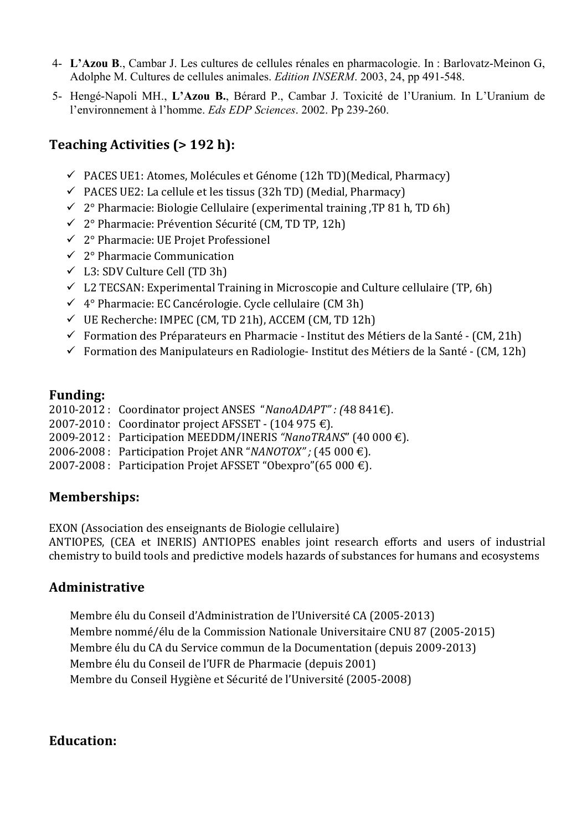- 4- **L'Azou B**., Cambar J. Les cultures de cellules rénales en pharmacologie. In : Barlovatz-Meinon G, Adolphe M. Cultures de cellules animales. *Edition INSERM*. 2003, 24, pp 491-548.
- 5- Hengé-Napoli MH., **L'Azou B.**, Bérard P., Cambar J. Toxicité de l'Uranium. In L'Uranium de l'environnement à l'homme. *Eds EDP Sciences*. 2002. Pp 239-260.

# **Teaching Activities (> 192 h):**

- $\checkmark$  PACES UE1: Atomes, Molécules et Génome (12h TD)(Medical, Pharmacy)
- $\checkmark$  PACES UE2: La cellule et les tissus (32h TD) (Medial, Pharmacy)
- $\checkmark$  2° Pharmacie: Biologie Cellulaire (experimental training, TP 81 h, TD 6h)
- $\checkmark$  2° Pharmacie: Prévention Sécurité (CM, TD TP, 12h)
- ! 2°'Pharmacie: UE'Projet'Professionel
- $\checkmark$  2° Pharmacie Communication
- $\checkmark$  L3: SDV Culture Cell (TD 3h)
- $\checkmark$  L2 TECSAN: Experimental Training in Microscopie and Culture cellulaire (TP, 6h)
- $\checkmark$  4° Pharmacie: EC Cancérologie. Cycle cellulaire (CM 3h)
- $\checkmark$  UE Recherche: IMPEC (CM, TD 21h), ACCEM (CM, TD 12h)
- $\checkmark$  Formation des Préparateurs en Pharmacie Institut des Métiers de la Santé (CM, 21h)
- $\checkmark$  Formation des Manipulateurs en Radiologie-Institut des Métiers de la Santé (CM, 12h)

### **Funding:**

2010-2012 : Coordinator project ANSES "*NanoADAPT" : (*48'841€).

- 2007-2010 : Coordinator project AFSSET  $(104\,975\,\text{E})$ .
- 2009\2012 :' Participation MEEDDM/INERIS'*"NanoTRANS*"'(40 000'€).
- 2006\2008 : Participation Projet'ANR'"*NANOTOX" ;* (45 000'€).
- 2007-2008 : Participation Projet AFSSET "Obexpro"(65 000 €).

# **Memberships:**

EXON (Association des enseignants de Biologie cellulaire)

ANTIOPES, (CEA et INERIS) ANTIOPES enables joint research efforts and users of industrial chemistry to build tools and predictive models hazards of substances for humans and ecosystems

# **Administrative)**

Membre élu du Conseil d'Administration de l'Université CA (2005-2013) Membre nommé/élu de la Commission Nationale Universitaire CNU 87 (2005-2015) Membre élu du CA du Service commun de la Documentation (depuis 2009-2013) Membre élu du Conseil de l'UFR de Pharmacie (depuis 2001) Membre du Conseil Hygiène et Sécurité de l'Université (2005-2008)

# **Education:**